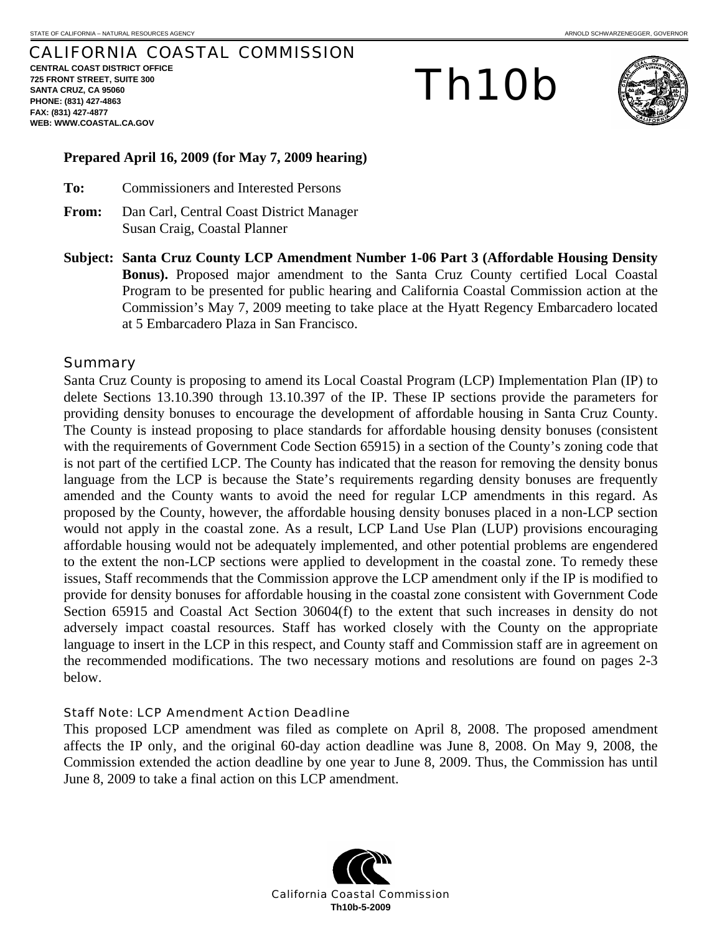# CALIFORNIA COASTAL COMMISSION

**CENTRAL COAST DISTRICT OFFICE 725 FRONT STREET, SUITE 300 SANTA CRUZ, CA 95060 PHONE: (831) 427-4863 FAX: (831) 427-4877 WEB: WWW.COASTAL.CA.GOV**

# Th10b



## **Prepared April 16, 2009 (for May 7, 2009 hearing)**

- **To:** Commissioners and Interested Persons
- **From:** Dan Carl, Central Coast District Manager Susan Craig, Coastal Planner
- **Subject: Santa Cruz County LCP Amendment Number 1-06 Part 3 (Affordable Housing Density Bonus).** Proposed major amendment to the Santa Cruz County certified Local Coastal Program to be presented for public hearing and California Coastal Commission action at the Commission's May 7, 2009 meeting to take place at the Hyatt Regency Embarcadero located at 5 Embarcadero Plaza in San Francisco.

## Summary

Santa Cruz County is proposing to amend its Local Coastal Program (LCP) Implementation Plan (IP) to delete Sections 13.10.390 through 13.10.397 of the IP. These IP sections provide the parameters for providing density bonuses to encourage the development of affordable housing in Santa Cruz County. The County is instead proposing to place standards for affordable housing density bonuses (consistent with the requirements of Government Code Section 65915) in a section of the County's zoning code that is not part of the certified LCP. The County has indicated that the reason for removing the density bonus language from the LCP is because the State's requirements regarding density bonuses are frequently amended and the County wants to avoid the need for regular LCP amendments in this regard. As proposed by the County, however, the affordable housing density bonuses placed in a non-LCP section would not apply in the coastal zone. As a result, LCP Land Use Plan (LUP) provisions encouraging affordable housing would not be adequately implemented, and other potential problems are engendered to the extent the non-LCP sections were applied to development in the coastal zone. To remedy these issues, Staff recommends that the Commission approve the LCP amendment only if the IP is modified to provide for density bonuses for affordable housing in the coastal zone consistent with Government Code Section 65915 and Coastal Act Section 30604(f) to the extent that such increases in density do not adversely impact coastal resources. Staff has worked closely with the County on the appropriate language to insert in the LCP in this respect, and County staff and Commission staff are in agreement on the recommended modifications. The two necessary motions and resolutions are found on pages 2-3 below.

## Staff Note: LCP Amendment Action Deadline

This proposed LCP amendment was filed as complete on April 8, 2008. The proposed amendment affects the IP only, and the original 60-day action deadline was June 8, 2008. On May 9, 2008, the Commission extended the action deadline by one year to June 8, 2009. Thus, the Commission has until June 8, 2009 to take a final action on this LCP amendment.

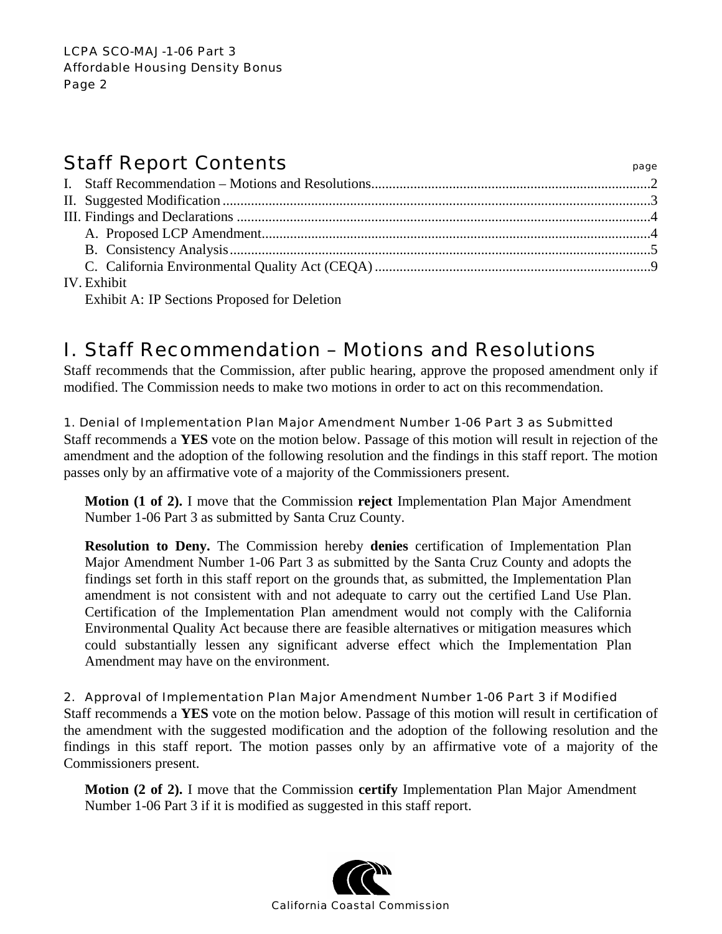# Staff Report Contents **Staff Report Contents**

| <b>IV.</b> Exhibit |  |
|--------------------|--|

Exhibit A: IP Sections Proposed for Deletion

# I. Staff Recommendation – Motions and Resolutions

Staff recommends that the Commission, after public hearing, approve the proposed amendment only if modified. The Commission needs to make two motions in order to act on this recommendation.

# 1. Denial of Implementation Plan Major Amendment Number 1-06 Part 3 as Submitted

Staff recommends a **YES** vote on the motion below. Passage of this motion will result in rejection of the amendment and the adoption of the following resolution and the findings in this staff report. The motion passes only by an affirmative vote of a majority of the Commissioners present.

**Motion (1 of 2).** I move that the Commission **reject** Implementation Plan Major Amendment Number 1-06 Part 3 as submitted by Santa Cruz County.

**Resolution to Deny.** The Commission hereby **denies** certification of Implementation Plan Major Amendment Number 1-06 Part 3 as submitted by the Santa Cruz County and adopts the findings set forth in this staff report on the grounds that, as submitted, the Implementation Plan amendment is not consistent with and not adequate to carry out the certified Land Use Plan. Certification of the Implementation Plan amendment would not comply with the California Environmental Quality Act because there are feasible alternatives or mitigation measures which could substantially lessen any significant adverse effect which the Implementation Plan Amendment may have on the environment.

# 2. Approval of Implementation Plan Major Amendment Number 1-06 Part 3 if Modified

Staff recommends a **YES** vote on the motion below. Passage of this motion will result in certification of the amendment with the suggested modification and the adoption of the following resolution and the findings in this staff report. The motion passes only by an affirmative vote of a majority of the Commissioners present.

**Motion (2 of 2).** I move that the Commission **certify** Implementation Plan Major Amendment Number 1-06 Part 3 if it is modified as suggested in this staff report.

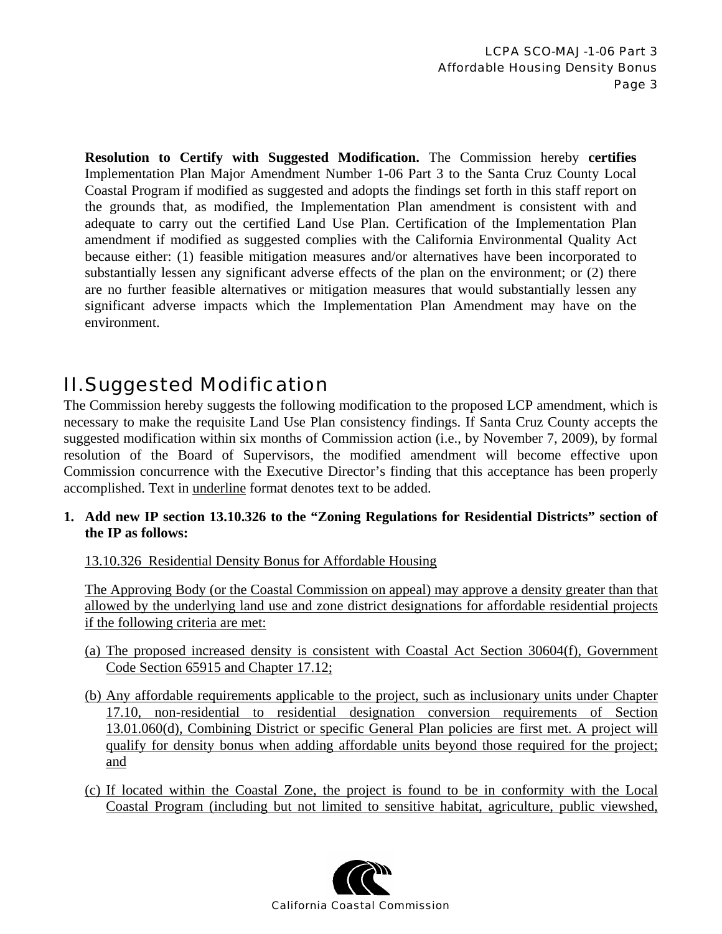**Resolution to Certify with Suggested Modification.** The Commission hereby **certifies** Implementation Plan Major Amendment Number 1-06 Part 3 to the Santa Cruz County Local Coastal Program if modified as suggested and adopts the findings set forth in this staff report on the grounds that, as modified, the Implementation Plan amendment is consistent with and adequate to carry out the certified Land Use Plan. Certification of the Implementation Plan amendment if modified as suggested complies with the California Environmental Quality Act because either: (1) feasible mitigation measures and/or alternatives have been incorporated to substantially lessen any significant adverse effects of the plan on the environment; or (2) there are no further feasible alternatives or mitigation measures that would substantially lessen any significant adverse impacts which the Implementation Plan Amendment may have on the environment.

# II. Suggested Modification

The Commission hereby suggests the following modification to the proposed LCP amendment, which is necessary to make the requisite Land Use Plan consistency findings. If Santa Cruz County accepts the suggested modification within six months of Commission action (i.e., by November 7, 2009), by formal resolution of the Board of Supervisors, the modified amendment will become effective upon Commission concurrence with the Executive Director's finding that this acceptance has been properly accomplished. Text in underline format denotes text to be added.

**1. Add new IP section 13.10.326 to the "Zoning Regulations for Residential Districts" section of the IP as follows:** 

13.10.326 Residential Density Bonus for Affordable Housing

The Approving Body (or the Coastal Commission on appeal) may approve a density greater than that allowed by the underlying land use and zone district designations for affordable residential projects if the following criteria are met:

- (a) The proposed increased density is consistent with Coastal Act Section 30604(f), Government Code Section 65915 and Chapter 17.12;
- (b) Any affordable requirements applicable to the project, such as inclusionary units under Chapter 17.10, non-residential to residential designation conversion requirements of Section 13.01.060(d), Combining District or specific General Plan policies are first met. A project will qualify for density bonus when adding affordable units beyond those required for the project; and
- (c) If located within the Coastal Zone, the project is found to be in conformity with the Local Coastal Program (including but not limited to sensitive habitat, agriculture, public viewshed,

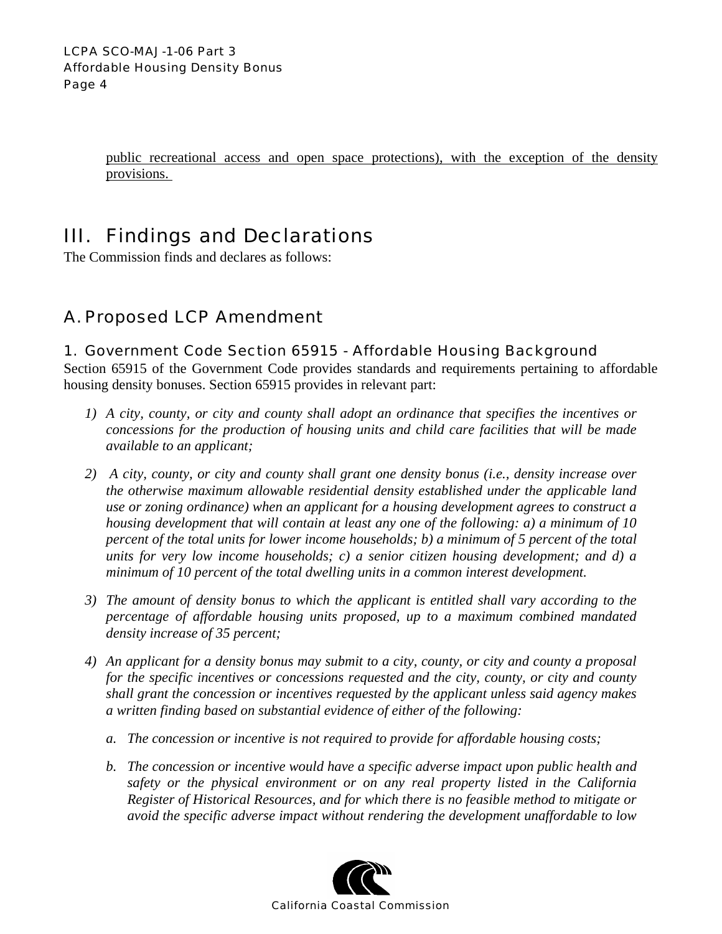public recreational access and open space protections), with the exception of the density provisions.

# III. Findings and Declarations

The Commission finds and declares as follows:

# A. Proposed LCP Amendment

# 1. Government Code Section 65915 - Affordable Housing Background

Section 65915 of the Government Code provides standards and requirements pertaining to affordable housing density bonuses. Section 65915 provides in relevant part:

- *1) A city, county, or city and county shall adopt an ordinance that specifies the incentives or concessions for the production of housing units and child care facilities that will be made available to an applicant;*
- *2) A city, county, or city and county shall grant one density bonus (i.e., density increase over the otherwise maximum allowable residential density established under the applicable land use or zoning ordinance) when an applicant for a housing development agrees to construct a housing development that will contain at least any one of the following: a) a minimum of 10 percent of the total units for lower income households; b) a minimum of 5 percent of the total units for very low income households; c) a senior citizen housing development; and d) a minimum of 10 percent of the total dwelling units in a common interest development.*
- *3) The amount of density bonus to which the applicant is entitled shall vary according to the percentage of affordable housing units proposed, up to a maximum combined mandated density increase of 35 percent;*
- *4) An applicant for a density bonus may submit to a city, county, or city and county a proposal for the specific incentives or concessions requested and the city, county, or city and county shall grant the concession or incentives requested by the applicant unless said agency makes a written finding based on substantial evidence of either of the following:* 
	- *a. The concession or incentive is not required to provide for affordable housing costs;*
	- *b. The concession or incentive would have a specific adverse impact upon public health and safety or the physical environment or on any real property listed in the California Register of Historical Resources, and for which there is no feasible method to mitigate or avoid the specific adverse impact without rendering the development unaffordable to low*

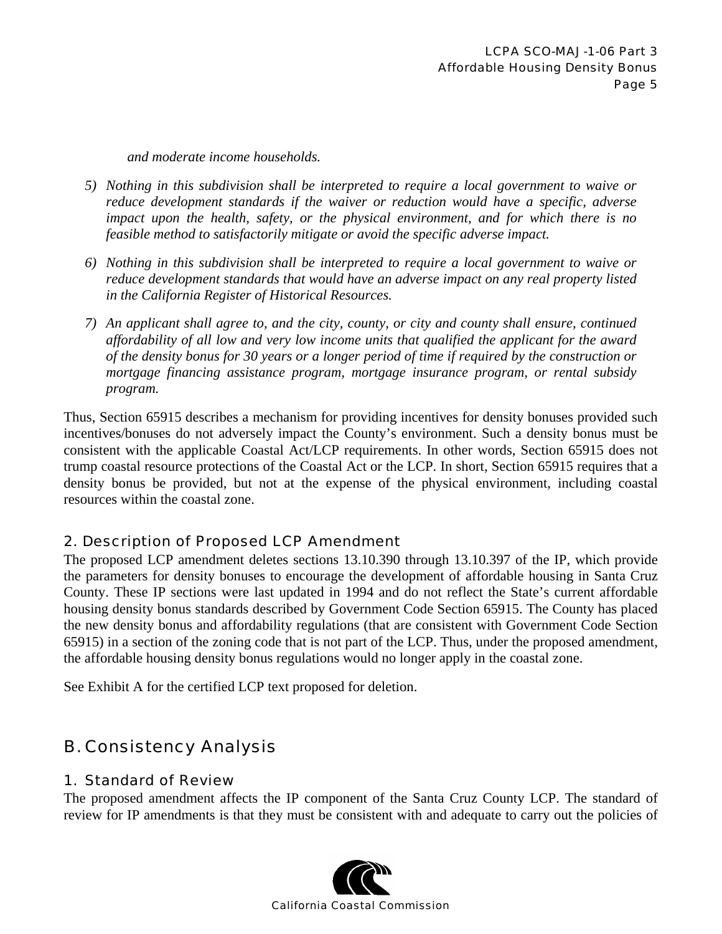*and moderate income households.* 

- *5) Nothing in this subdivision shall be interpreted to require a local government to waive or reduce development standards if the waiver or reduction would have a specific, adverse impact upon the health, safety, or the physical environment, and for which there is no feasible method to satisfactorily mitigate or avoid the specific adverse impact.*
- *6) Nothing in this subdivision shall be interpreted to require a local government to waive or reduce development standards that would have an adverse impact on any real property listed in the California Register of Historical Resources.*
- *7) An applicant shall agree to, and the city, county, or city and county shall ensure, continued affordability of all low and very low income units that qualified the applicant for the award of the density bonus for 30 years or a longer period of time if required by the construction or mortgage financing assistance program, mortgage insurance program, or rental subsidy program.*

Thus, Section 65915 describes a mechanism for providing incentives for density bonuses provided such incentives/bonuses do not adversely impact the County's environment. Such a density bonus must be consistent with the applicable Coastal Act/LCP requirements. In other words, Section 65915 does not trump coastal resource protections of the Coastal Act or the LCP. In short, Section 65915 requires that a density bonus be provided, but not at the expense of the physical environment, including coastal resources within the coastal zone.

# 2. Description of Proposed LCP Amendment

The proposed LCP amendment deletes sections 13.10.390 through 13.10.397 of the IP, which provide the parameters for density bonuses to encourage the development of affordable housing in Santa Cruz County. These IP sections were last updated in 1994 and do not reflect the State's current affordable housing density bonus standards described by Government Code Section 65915. The County has placed the new density bonus and affordability regulations (that are consistent with Government Code Section 65915) in a section of the zoning code that is not part of the LCP. Thus, under the proposed amendment, the affordable housing density bonus regulations would no longer apply in the coastal zone.

See Exhibit A for the certified LCP text proposed for deletion.

# B. Consistency Analysis

# 1. Standard of Review

The proposed amendment affects the IP component of the Santa Cruz County LCP. The standard of review for IP amendments is that they must be consistent with and adequate to carry out the policies of

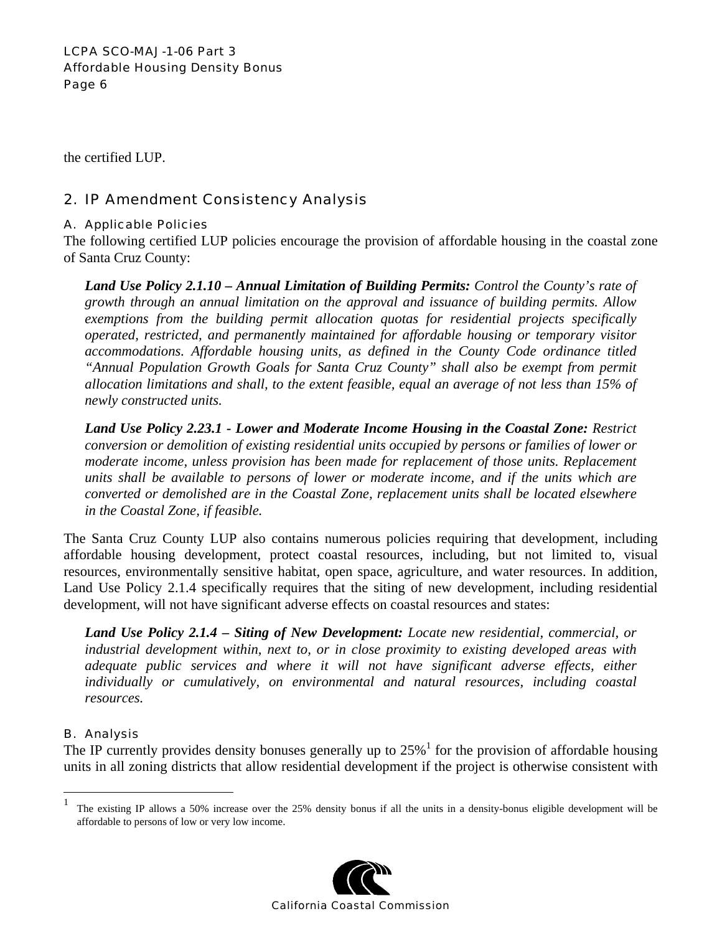the certified LUP.

# 2. IP Amendment Consistency Analysis

## A. Applicable Policies

The following certified LUP policies encourage the provision of affordable housing in the coastal zone of Santa Cruz County:

*Land Use Policy 2.1.10 – Annual Limitation of Building Permits: Control the County's rate of growth through an annual limitation on the approval and issuance of building permits. Allow exemptions from the building permit allocation quotas for residential projects specifically operated, restricted, and permanently maintained for affordable housing or temporary visitor accommodations. Affordable housing units, as defined in the County Code ordinance titled "Annual Population Growth Goals for Santa Cruz County" shall also be exempt from permit allocation limitations and shall, to the extent feasible, equal an average of not less than 15% of newly constructed units.* 

*Land Use Policy 2.23.1 - Lower and Moderate Income Housing in the Coastal Zone: Restrict conversion or demolition of existing residential units occupied by persons or families of lower or moderate income, unless provision has been made for replacement of those units. Replacement units shall be available to persons of lower or moderate income, and if the units which are converted or demolished are in the Coastal Zone, replacement units shall be located elsewhere in the Coastal Zone, if feasible.* 

The Santa Cruz County LUP also contains numerous policies requiring that development, including affordable housing development, protect coastal resources, including, but not limited to, visual resources, environmentally sensitive habitat, open space, agriculture, and water resources. In addition, Land Use Policy 2.1.4 specifically requires that the siting of new development, including residential development, will not have significant adverse effects on coastal resources and states:

*Land Use Policy 2.1.4 – Siting of New Development: Locate new residential, commercial, or industrial development within, next to, or in close proximity to existing developed areas with adequate public services and where it will not have significant adverse effects, either individually or cumulatively, on environmental and natural resources, including coastal resources.* 

# B. Analysis

1

The IP currently provides density bonuses generally up to  $25\%$ <sup>1</sup> for the provision of affordable housing units in all zoning districts that allow residential development if the project is otherwise consistent with

<sup>&</sup>lt;sup>1</sup> The existing IP allows a 50% increase over the 25% density bonus if all the units in a density-bonus eligible development will be affordable to persons of low or very low income.

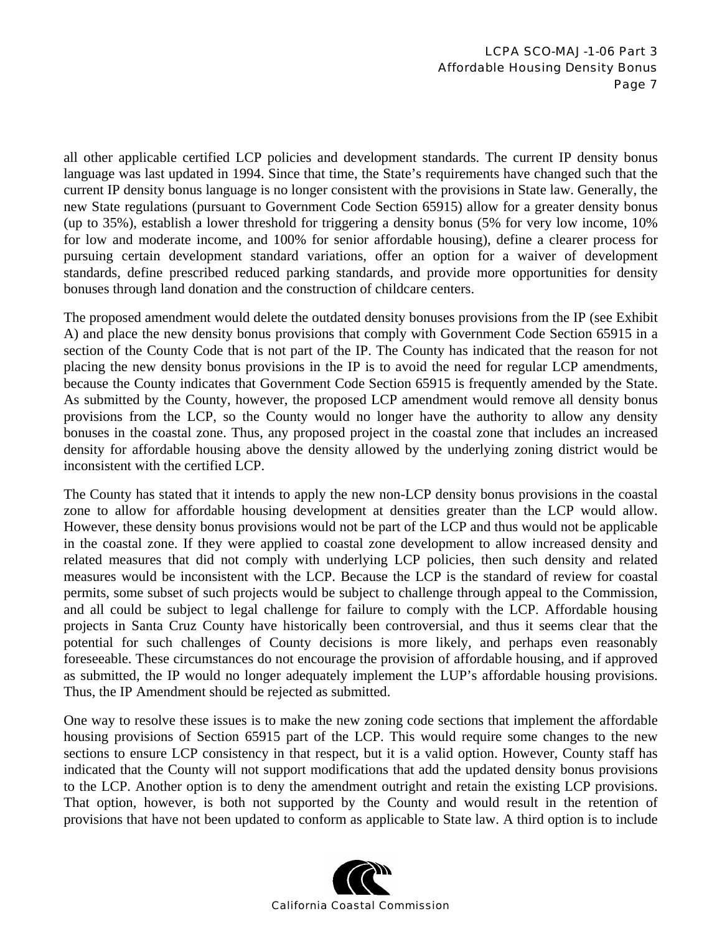all other applicable certified LCP policies and development standards. The current IP density bonus language was last updated in 1994. Since that time, the State's requirements have changed such that the current IP density bonus language is no longer consistent with the provisions in State law. Generally, the new State regulations (pursuant to Government Code Section 65915) allow for a greater density bonus (up to 35%), establish a lower threshold for triggering a density bonus (5% for very low income, 10% for low and moderate income, and 100% for senior affordable housing), define a clearer process for pursuing certain development standard variations, offer an option for a waiver of development standards, define prescribed reduced parking standards, and provide more opportunities for density bonuses through land donation and the construction of childcare centers.

The proposed amendment would delete the outdated density bonuses provisions from the IP (see Exhibit A) and place the new density bonus provisions that comply with Government Code Section 65915 in a section of the County Code that is not part of the IP. The County has indicated that the reason for not placing the new density bonus provisions in the IP is to avoid the need for regular LCP amendments, because the County indicates that Government Code Section 65915 is frequently amended by the State. As submitted by the County, however, the proposed LCP amendment would remove all density bonus provisions from the LCP, so the County would no longer have the authority to allow any density bonuses in the coastal zone. Thus, any proposed project in the coastal zone that includes an increased density for affordable housing above the density allowed by the underlying zoning district would be inconsistent with the certified LCP.

The County has stated that it intends to apply the new non-LCP density bonus provisions in the coastal zone to allow for affordable housing development at densities greater than the LCP would allow. However, these density bonus provisions would not be part of the LCP and thus would not be applicable in the coastal zone. If they were applied to coastal zone development to allow increased density and related measures that did not comply with underlying LCP policies, then such density and related measures would be inconsistent with the LCP. Because the LCP is the standard of review for coastal permits, some subset of such projects would be subject to challenge through appeal to the Commission, and all could be subject to legal challenge for failure to comply with the LCP. Affordable housing projects in Santa Cruz County have historically been controversial, and thus it seems clear that the potential for such challenges of County decisions is more likely, and perhaps even reasonably foreseeable. These circumstances do not encourage the provision of affordable housing, and if approved as submitted, the IP would no longer adequately implement the LUP's affordable housing provisions. Thus, the IP Amendment should be rejected as submitted.

One way to resolve these issues is to make the new zoning code sections that implement the affordable housing provisions of Section 65915 part of the LCP. This would require some changes to the new sections to ensure LCP consistency in that respect, but it is a valid option. However, County staff has indicated that the County will not support modifications that add the updated density bonus provisions to the LCP. Another option is to deny the amendment outright and retain the existing LCP provisions. That option, however, is both not supported by the County and would result in the retention of provisions that have not been updated to conform as applicable to State law. A third option is to include

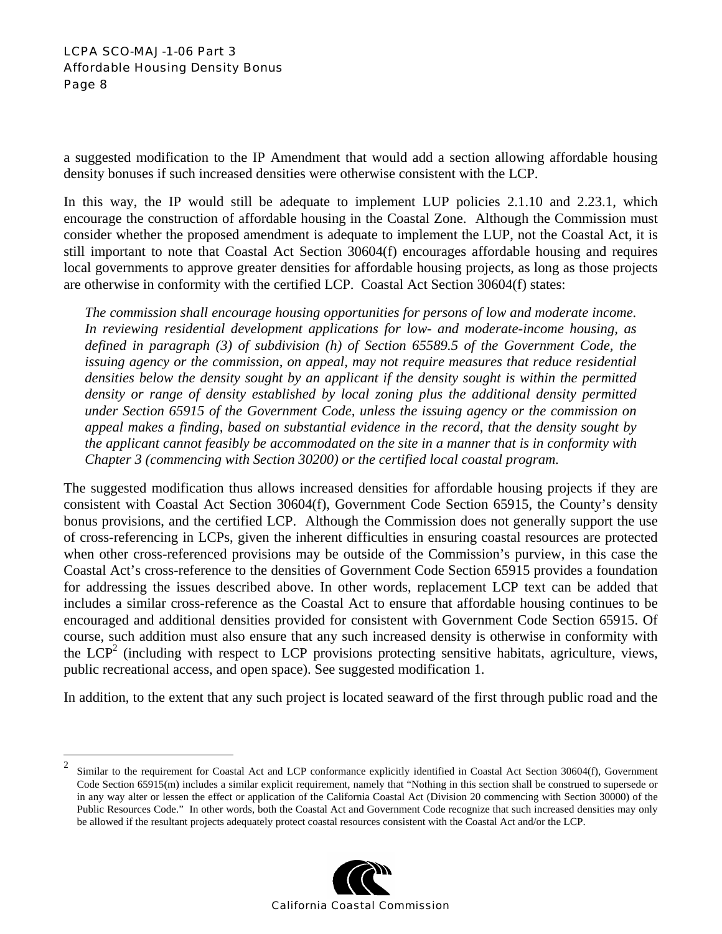## LCPA SCO-MAJ-1-06 Part 3 Affordable Housing Density Bonus Page 8

<u>.</u>

a suggested modification to the IP Amendment that would add a section allowing affordable housing density bonuses if such increased densities were otherwise consistent with the LCP.

In this way, the IP would still be adequate to implement LUP policies 2.1.10 and 2.23.1, which encourage the construction of affordable housing in the Coastal Zone. Although the Commission must consider whether the proposed amendment is adequate to implement the LUP, not the Coastal Act, it is still important to note that Coastal Act Section 30604(f) encourages affordable housing and requires local governments to approve greater densities for affordable housing projects, as long as those projects are otherwise in conformity with the certified LCP. Coastal Act Section 30604(f) states:

*The commission shall encourage housing opportunities for persons of low and moderate income. In reviewing residential development applications for low- and moderate-income housing, as defined in paragraph (3) of subdivision (h) of Section 65589.5 of the Government Code, the issuing agency or the commission, on appeal, may not require measures that reduce residential densities below the density sought by an applicant if the density sought is within the permitted density or range of density established by local zoning plus the additional density permitted under Section 65915 of the Government Code, unless the issuing agency or the commission on appeal makes a finding, based on substantial evidence in the record, that the density sought by the applicant cannot feasibly be accommodated on the site in a manner that is in conformity with Chapter 3 (commencing with Section 30200) or the certified local coastal program.* 

The suggested modification thus allows increased densities for affordable housing projects if they are consistent with Coastal Act Section 30604(f), Government Code Section 65915, the County's density bonus provisions, and the certified LCP. Although the Commission does not generally support the use of cross-referencing in LCPs, given the inherent difficulties in ensuring coastal resources are protected when other cross-referenced provisions may be outside of the Commission's purview, in this case the Coastal Act's cross-reference to the densities of Government Code Section 65915 provides a foundation for addressing the issues described above. In other words, replacement LCP text can be added that includes a similar cross-reference as the Coastal Act to ensure that affordable housing continues to be encouraged and additional densities provided for consistent with Government Code Section 65915. Of course, such addition must also ensure that any such increased density is otherwise in conformity with the  $LCP<sup>2</sup>$  (including with respect to LCP provisions protecting sensitive habitats, agriculture, views, public recreational access, and open space). See suggested modification 1.

In addition, to the extent that any such project is located seaward of the first through public road and the

<sup>&</sup>lt;sup>2</sup> Similar to the requirement for Coastal Act and LCP conformance explicitly identified in Coastal Act Section 30604(f), Government Code Section 65915(m) includes a similar explicit requirement, namely that "Nothing in this section shall be construed to supersede or in any way alter or lessen the effect or application of the California Coastal Act (Division 20 commencing with Section 30000) of the Public Resources Code." In other words, both the Coastal Act and Government Code recognize that such increased densities may only be allowed if the resultant projects adequately protect coastal resources consistent with the Coastal Act and/or the LCP.

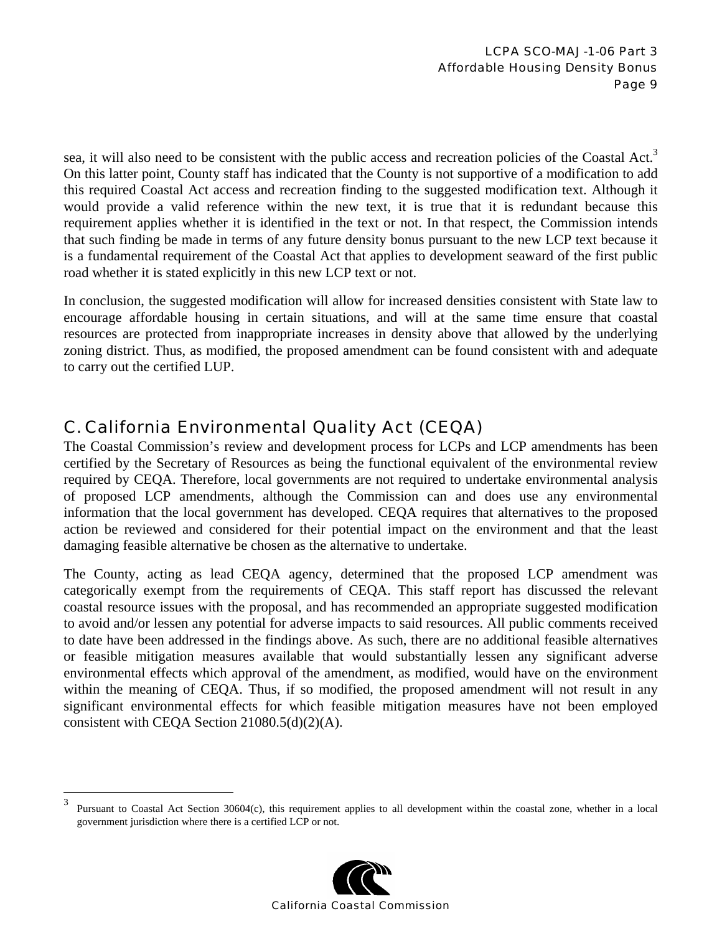sea, it will also need to be consistent with the public access and recreation policies of the Coastal Act.<sup>3</sup> On this latter point, County staff has indicated that the County is not supportive of a modification to add this required Coastal Act access and recreation finding to the suggested modification text. Although it would provide a valid reference within the new text, it is true that it is redundant because this requirement applies whether it is identified in the text or not. In that respect, the Commission intends that such finding be made in terms of any future density bonus pursuant to the new LCP text because it is a fundamental requirement of the Coastal Act that applies to development seaward of the first public road whether it is stated explicitly in this new LCP text or not.

In conclusion, the suggested modification will allow for increased densities consistent with State law to encourage affordable housing in certain situations, and will at the same time ensure that coastal resources are protected from inappropriate increases in density above that allowed by the underlying zoning district. Thus, as modified, the proposed amendment can be found consistent with and adequate to carry out the certified LUP.

# C. California Environmental Quality Act (CEQA)

The Coastal Commission's review and development process for LCPs and LCP amendments has been certified by the Secretary of Resources as being the functional equivalent of the environmental review required by CEQA. Therefore, local governments are not required to undertake environmental analysis of proposed LCP amendments, although the Commission can and does use any environmental information that the local government has developed. CEQA requires that alternatives to the proposed action be reviewed and considered for their potential impact on the environment and that the least damaging feasible alternative be chosen as the alternative to undertake.

The County, acting as lead CEQA agency, determined that the proposed LCP amendment was categorically exempt from the requirements of CEQA. This staff report has discussed the relevant coastal resource issues with the proposal, and has recommended an appropriate suggested modification to avoid and/or lessen any potential for adverse impacts to said resources. All public comments received to date have been addressed in the findings above. As such, there are no additional feasible alternatives or feasible mitigation measures available that would substantially lessen any significant adverse environmental effects which approval of the amendment, as modified, would have on the environment within the meaning of CEQA. Thus, if so modified, the proposed amendment will not result in any significant environmental effects for which feasible mitigation measures have not been employed consistent with CEQA Section 21080.5(d)(2)(A).

<sup>3</sup> <sup>3</sup> Pursuant to Coastal Act Section 30604(c), this requirement applies to all development within the coastal zone, whether in a local government jurisdiction where there is a certified LCP or not.

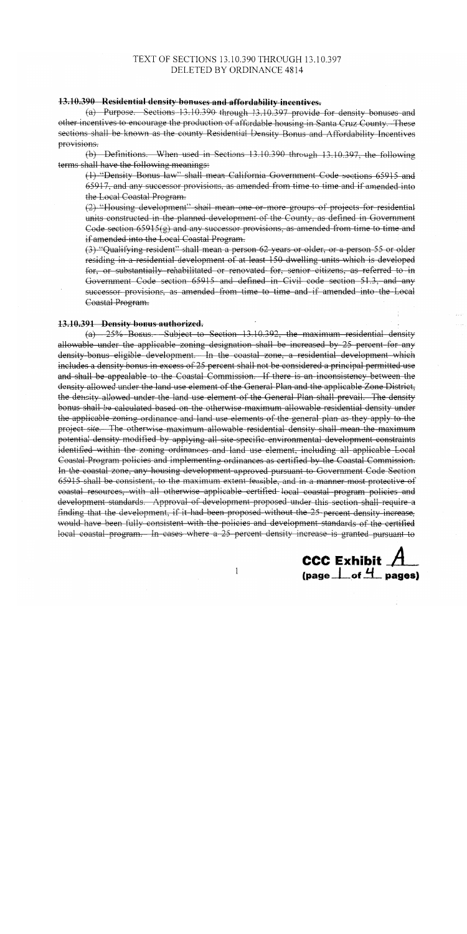## TEXT OF SECTIONS 13.10.390 THROUGH 13.10.397 DELETED BY ORDINANCE 4814

#### 13.10.390 Residential density bonuses and affordability incentives.

 $(a)$  Purpose. Sections 13.10.390 through 13.10.397 provide for density bonuses and other incentives to encourage the production of affordable housing in Santa Cruz County. These sections shall be known as the county Residential Density Bonus and Affordability Incentives provisions.

(b) Definitions. When used in Sections 13.10.390 through 13.10.397, the following terms shall have the following meanings:

(1) "Density Bonus law" shall mean California Government Code sections 65915 and 65917, and any successor provisions, as amended from time to time and if amended into the Local Coastal Program.

(2) "Housing development" shall mean one or more groups of projects for residential units constructed in the planned development of the County, as defined in Government Code section  $65915(g)$  and any successor provisions, as amended from time to time and if amended into the Local Coastal Program.

(3) "Qualifying resident" shall mean a person 62 years or older, or a person 55 or older residing in a residential development of at least 150 dwelling units which is developed for, or substantially rehabilitated or renovated for, senior citizens, as referred to in Government Code section 65915 and defined in Civil code section 51.3, and any successor provisions, as amended from time to time and if amended into the Local Coastal Program.

#### 13.10.391 Density bonus authorized.

(a) 25% Bonus. Subject to Section 13.10.392, the maximum residential density allowable under the applicable zoning designation shall be increased by 25 percent for any density-bonus eligible development. In the coastal zone, a residential development which includes a density bonus in excess of 25 percent shall not be considered a principal permitted use and shall be appealable to the Coastal Commission. If there is an inconsistency between the density allowed under the land use element of the General Plan and the applicable Zone District, the density allowed under the land use element of the General Plan shall prevail. The density bonus shall be calculated based on the otherwise maximum allowable residential density under the applicable zoning ordinance and land use elements of the general plan as they apply to the project site. The otherwise maximum allowable residential density shall mean the maximum potential density modified by applying all site specific environmental development constraints identified within the zoning ordinances and land use element, including all applicable Local Coastal Program policies and implementing ordinances as certified by the Coastal Commission. In the coastal zone, any housing development approved pursuant to Government Code Section 65915 shall be consistent, to the maximum extent feasible, and in a manner most protective of eoastal resources, with all otherwise applicable certified local coastal program policies and development standards. Approval of development proposed under this section shall require a finding that the development, if it had been proposed without the 25 percent density increase, would have been fully consistent with the policies and development standards of the certified local coastal program. In cases where a 25 percent density increase is granted pursuant to



 $\mathbf{1}$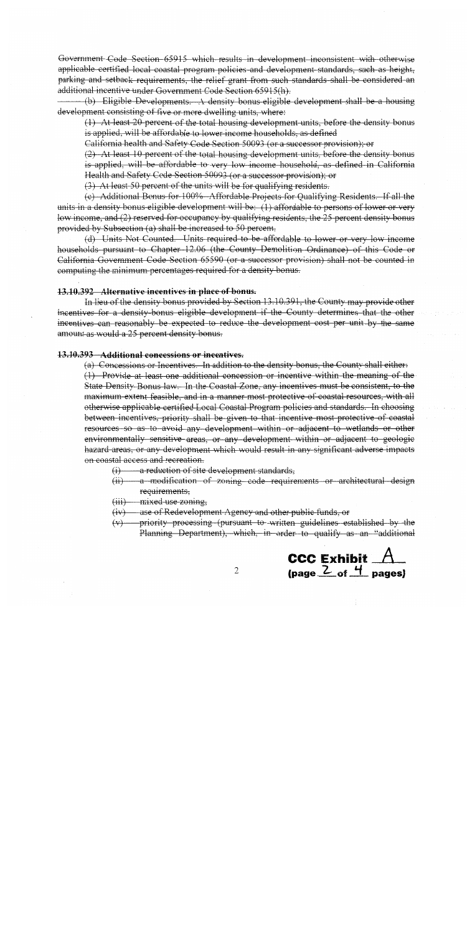Government Code Section 65915 which results in development inconsistent with otherwise applicable-certified local coastal program policies and development-standards, such as height, parking and setback requirements, the relief grant from such standards shall be considered an additional incentive under Government Code Section 65915(h).

(b) Eligible Developments. A density bonus eligible development shall be a housing development consisting of five or more dwelling units, where:

(1) At least 20 percent of the total housing development units, before the density bonus is applied, will be affordable to lower income households, as defined

California health and Safety Code Section 50093 (or a successor provision); or

 $(2)$ . At least 10 percent of the total housing development units, before the density bonus is applied, will be affordable to very low income household, as defined in California Health and Safety Code Section 50093 (or a successor provision); or

 $(3)$  At least 50 percent of the units will be for qualifying residents.

(e) Additional Bonus for 100% Affordable Projects for Qualifying Residents. If all the units in a density bonus-eligible development will be: (1) affordable to persons of lower or very low income, and  $(2)$  reserved for occupancy by qualifying residents, the 25 percent density bonus provided by Subsection (a) shall be increased to 50 percent.

(d) Units Not Counted. Units required to be affordable to lower or very low income households pursuant to Chapter 12.06 (the County Demolition Ordinance) of this Code or California Government Code Section 65590 (or a successor provision) shall not be counted in computing the minimum percentages required for a density bonus.

#### 13.10.392 Alternative incentives in place of bonus.

In lieu of the density bonus provided by Section 13.10.391, the County may provide other incentives for a density-bonus eligible development if the County determines that the other incentives can reasonably be expected to reduce the development cost per unit by the same amount as would a 25 percent density bonus.

#### 13.10.393 Additional concessions or incentives.

(a) Concessions or Incentives. In addition to the density bonus, the County shall either:  $(1)$  Provide at least one additional concession or incentive within the meaning of the State Density Bonus law. In the Coastal Zone, any incentives must be consistent, to the maximum extent feasible, and in a manner most protective of coastal resources, with all otherwise applicable certified Local Coastal Program policies and standards. In choosing between incentives, priority shall be given to that incentive most protective of coastal resources so as to avoid any development within or adjacent to wetlands or other environmentally sensitive areas, or any development within or adjacent to geologie hazard areas, or any development which would result in any significant adverse impacts on coastal access and recreation.

- $(i)$  a reduction of site development standards,
- (ii) a modification of zoning code requirements or architectural design requirements,
- $(iii)$  mixed use zoning,
- $(iv)$  use of Redevelopment Agency and other public funds, or

 $\overline{2}$ 

 $(v)$  - priority processing (pursuant to written guidelines established by the Planning Department), which, in order to qualify as an "additional

> CCC Exhibit  $A$ (page  $2$  of  $4$  pages)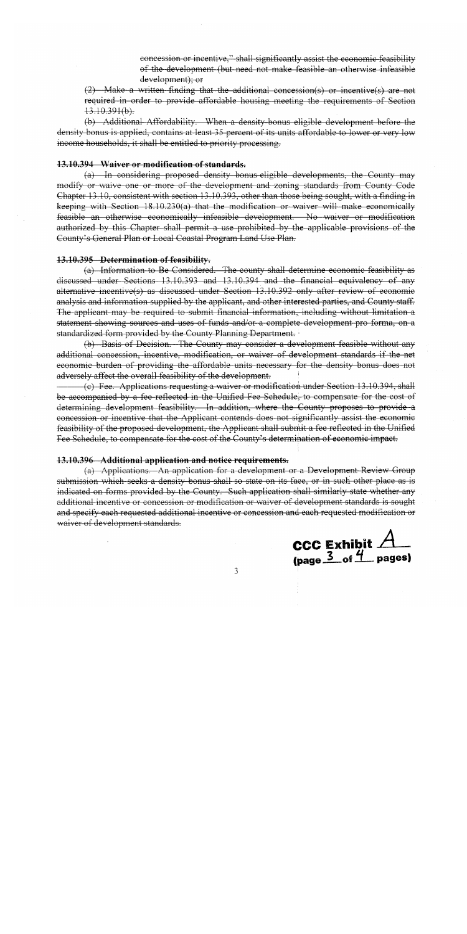concession or incentive," shall significantly assist the economic feasibility of the development (but need not make feasible an otherwise infeasible development); or

 $(2)$  Make a written finding that the additional concession(s) or incentive(s) are not required in order to provide affordable housing meeting the requirements of Section  $13.10.391(b)$ .

(b) Additional Affordability. When a density-bonus eligible development before the density bonus is applied, contains at least 35 percent of its units affordable to lower or very low income households, it shall be entitled to priority processing.

## 13.10.394 Waiver or modification of standards.

(a) In considering proposed density bonus eligible developments, the County may modify or waive one or more of the development and zoning standards from County Code Chapter 13.10, consistent with section 13.10.393, other than those being sought, with a finding in keeping with Section 18.10.230(a) that the modification or waiver will make economically feasible an otherwise economically infeasible development. No waiver or modification authorized by this Chapter shall permit a use prohibited by the applicable provisions of the County's General Plan or Local Coastal Program Land Use Plan.

#### 13.10.395 Determination of feasibility.

(a) Information to Be Considered. The county shall determine economic feasibility as discussed under Sections 13.10.393 and 13.10.394 and the financial equivalency of any alternative incentive(s) as discussed under Section 13.10.392 only after review of economic analysis and information supplied by the applicant, and other interested parties, and County staff. The applicant may be required to submit financial information, including without limitation a statement showing sources and uses of funds and/or a complete development pro forma, on a standardized form provided by the County Planning Department.

(b) Basis of Decision. The County may consider a development feasible without any additional concession, incentive, modification, or waiver of development standards if the net economic burden of providing the affordable units necessary for the density bonus does not adversely affect the overall feasibility of the development.

(c) Fee. Applications requesting a waiver or modification under Section 13.10.394, shall be accompanied by a fee reflected in the Unified Fee Schedule, to compensate for the cost of determining development feasibility. In addition, where the County proposes to provide a concession or incentive that the Applicant contends does not significantly assist the economic feasibility of the proposed development, the Applicant shall submit a fee-reflected in the Unified Fee Schedule, to compensate for the cost of the County's determination of economic impact.

#### 13.10.396 Additional application and notice requirements.

(a) Applications. An application for a development or a Development Review Group submission which seeks a density bonus shall so state on its face, or in such other place as is indicated on forms provided by the County. Such application shall similarly state whether any additional incentive or concession or modification or waiver of development standards is sought and specify each requested additional incentive or concession and each requested modification or waiver of development standards.